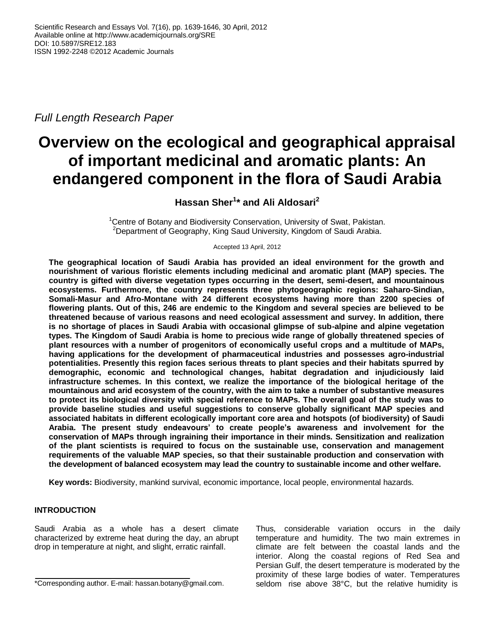*Full Length Research Paper*

# **Overview on the ecological and geographical appraisal of important medicinal and aromatic plants: An endangered component in the flora of Saudi Arabia**

**Hassan Sher<sup>1</sup> \* and Ali Aldosari<sup>2</sup>**

<sup>1</sup>Centre of Botany and Biodiversity Conservation, University of Swat, Pakistan. <sup>2</sup>Department of Geography, King Saud University, Kingdom of Saudi Arabia.

Accepted 13 April, 2012

**The geographical location of Saudi Arabia has provided an ideal environment for the growth and nourishment of various floristic elements including medicinal and aromatic plant (MAP) species. The country is gifted with diverse vegetation types occurring in the desert, semi-desert, and mountainous ecosystems. Furthermore, the country represents three phytogeographic regions: Saharo-Sindian, Somali-Masur and Afro-Montane with 24 different ecosystems having more than 2200 species of flowering plants. Out of this, 246 are endemic to the Kingdom and several species are believed to be threatened because of various reasons and need ecological assessment and survey. In addition, there is no shortage of places in Saudi Arabia with occasional glimpse of sub-alpine and alpine vegetation types. The Kingdom of Saudi Arabia is home to precious wide range of globally threatened species of plant resources with a number of progenitors of economically useful crops and a multitude of MAPs, having applications for the development of pharmaceutical industries and possesses agro-industrial potentialities. Presently this region faces serious threats to plant species and their habitats spurred by demographic, economic and technological changes, habitat degradation and injudiciously laid infrastructure schemes. In this context, we realize the importance of the biological heritage of the mountainous and arid ecosystem of the country, with the aim to take a number of substantive measures to protect its biological diversity with special reference to MAPs. The overall goal of the study was to provide baseline studies and useful suggestions to conserve globally significant MAP species and associated habitats in different ecologically important core area and hotspots (of biodiversity) of Saudi Arabia. The present study endeavours' to create people's awareness and involvement for the conservation of MAPs through ingraining their importance in their minds. Sensitization and realization of the plant scientists is required to focus on the sustainable use, conservation and management requirements of the valuable MAP species, so that their sustainable production and conservation with the development of balanced ecosystem may lead the country to sustainable income and other welfare.**

**Key words:** Biodiversity, mankind survival, economic importance, local people, environmental hazards.

# **INTRODUCTION**

Saudi Arabia as a whole has a desert climate characterized by extreme heat during the day, an abrupt drop in temperature at night, and slight, erratic rainfall.

Thus, considerable variation occurs in the daily temperature and humidity. The two main extremes in climate are felt between the coastal lands and the interior. Along the coastal regions of Red Sea and Persian Gulf, the desert temperature is moderated by the proximity of these large bodies of water. Temperatures seldom rise above 38°C, but the relative humidity is

<sup>\*</sup>Corresponding author. E-mail: hassan.botany@gmail.com.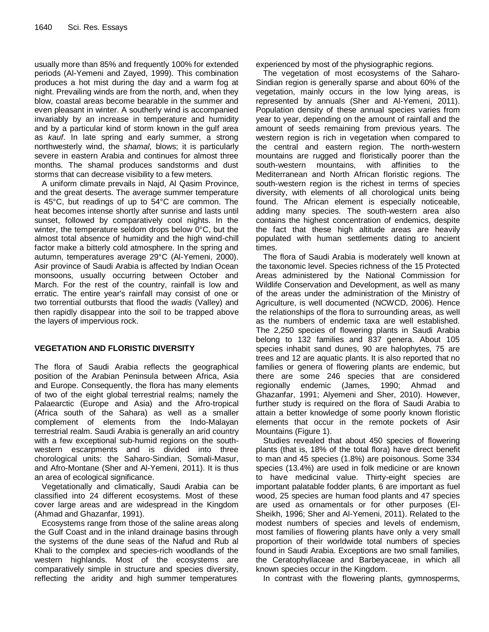usually more than 85% and frequently 100% for extended periods (Al-Yemeni and Zayed, 1999). This combination produces a hot mist during the day and a warm fog at night. Prevailing winds are from the north, and, when they blow, coastal areas become bearable in the summer and even pleasant in winter. A southerly wind is accompanied invariably by an increase in temperature and humidity and by a particular kind of storm known in the gulf area as *kauf*. In late spring and early summer, a strong northwesterly wind, the *shamal*, blows; it is particularly severe in eastern Arabia and continues for almost three months. The shamal produces sandstorms and dust storms that can decrease visibility to a few meters.

A uniform climate prevails in Najd, Al Qasim Province, and the great deserts. The average summer temperature is 45°C, but readings of up to 54°C are common. The heat becomes intense shortly after sunrise and lasts until sunset, followed by comparatively cool nights. In the winter, the temperature seldom drops below 0°C, but the almost total absence of humidity and the high wind-chill factor make a bitterly cold atmosphere. In the spring and autumn, temperatures average 29°C (Al-Yemeni, 2000). Asir province of Saudi Arabia is affected by Indian Ocean monsoons, usually occurring between October and March. For the rest of the country, rainfall is low and erratic. The entire year's rainfall may consist of one or two torrential outbursts that flood the *wadis* (Valley) and then rapidly disappear into the soil to be trapped above the layers of impervious rock.

# **VEGETATION AND FLORISTIC DIVERSITY**

The flora of Saudi Arabia reflects the geographical position of the Arabian Peninsula between Africa, Asia and Europe. Consequently, the flora has many elements of two of the eight global terrestrial realms; namely the Palaearctic (Europe and Asia) and the Afro-tropical (Africa south of the Sahara) as well as a smaller complement of elements from the Indo-Malayan terrestrial realm. Saudi Arabia is generally an arid country with a few exceptional sub-humid regions on the southwestern escarpments and is divided into three chorological units: the Saharo-Sindian, Somali-Masur, and Afro-Montane (Sher and Al-Yemeni, 2011). It is thus an area of ecological significance.

Vegetationally and climatically, Saudi Arabia can be classified into 24 different ecosystems. Most of these cover large areas and are widespread in the Kingdom (Ahmad and Ghazanfar, 1991).

Ecosystems range from those of the saline areas along the Gulf Coast and in the inland drainage basins through the systems of the dune seas of the Nafud and Rub al Khali to the complex and species-rich woodlands of the western highlands. Most of the ecosystems are comparatively simple in structure and species diversity, reflecting the aridity and high summer temperatures

experienced by most of the physiographic regions.

The vegetation of most ecosystems of the Saharo-Sindian region is generally sparse and about 60% of the vegetation, mainly occurs in the low lying areas, is represented by annuals (Sher and Al-Yemeni, 2011). Population density of these annual species varies from year to year, depending on the amount of rainfall and the amount of seeds remaining from previous years. The western region is rich in vegetation when compared to the central and eastern region. The north-western mountains are rugged and floristically poorer than the south-western mountains, with affinities to the Mediterranean and North African floristic regions. The south-western region is the richest in terms of species diversity, with elements of all chorological units being found. The African element is especially noticeable, adding many species. The south-western area also contains the highest concentration of endemics, despite the fact that these high altitude areas are heavily populated with human settlements dating to ancient times.

The flora of Saudi Arabia is moderately well known at the taxonomic level. Species richness of the 15 Protected Areas administered by the National Commission for Wildlife Conservation and Development, as well as many of the areas under the administration of the Ministry of Agriculture, is well documented (NCWCD, 2006). Hence the relationships of the flora to surrounding areas, as well as the numbers of endemic taxa are well established. The 2,250 species of flowering plants in Saudi Arabia belong to 132 families and 837 genera. About 105 species inhabit sand dunes, 90 are halophytes, 75 are trees and 12 are aquatic plants. It is also reported that no families or genera of flowering plants are endemic, but there are some 246 species that are considered regionally endemic (James, 1990; Ahmad and Ghazanfar, 1991; Alyemeni and Sher, 2010). However, further study is required on the flora of Saudi Arabia to attain a better knowledge of some poorly known floristic elements that occur in the remote pockets of Asir Mountains (Figure 1).

Studies revealed that about 450 species of flowering plants (that is, 18% of the total flora) have direct benefit to man and 45 species (1.8%) are poisonous. Some 334 species (13.4%) are used in folk medicine or are known to have medicinal value. Thirty-eight species are important palatable fodder plants, 6 are important as fuel wood, 25 species are human food plants and 47 species are used as ornamentals or for other purposes (El-Sheikh, 1996; Sher and Al-Yemeni, 2011). Related to the modest numbers of species and levels of endemism, most families of flowering plants have only a very small proportion of their worldwide total numbers of species found in Saudi Arabia. Exceptions are two small families, the Ceratophyllaceae and Barbeyaceae, in which all known species occur in the Kingdom.

In contrast with the flowering plants, gymnosperms,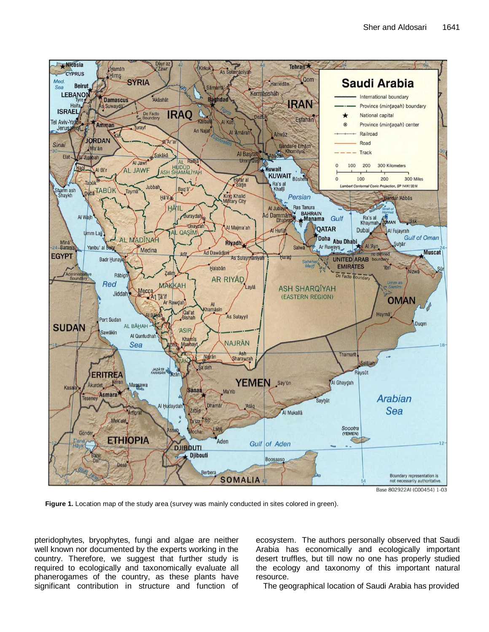

Figure 1. Location map of the study area (survey was mainly conducted in sites colored in green).

pteridophytes, bryophytes, fungi and algae are neither well known nor documented by the experts working in the country. Therefore, we suggest that further study is required to ecologically and taxonomically evaluate all phanerogames of the country, as these plants have significant contribution in structure and function of

ecosystem. The authors personally observed that Saudi Arabia has economically and ecologically important desert truffles, but till now no one has properly studied the ecology and taxonomy of this important natural resource.

The geographical location of Saudi Arabia has provided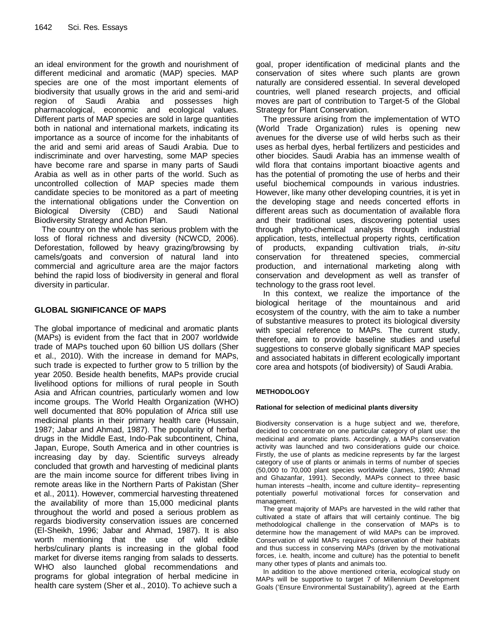an ideal environment for the growth and nourishment of different medicinal and aromatic (MAP) species. MAP species are one of the most important elements of biodiversity that usually grows in the arid and semi-arid region of Saudi Arabia and possesses high pharmacological, economic and ecological values. Different parts of MAP species are sold in large quantities both in national and international markets, indicating its importance as a source of income for the inhabitants of the arid and semi arid areas of Saudi Arabia. Due to indiscriminate and over harvesting, some MAP species have become rare and sparse in many parts of Saudi Arabia as well as in other parts of the world. Such as uncontrolled collection of MAP species made them candidate species to be monitored as a part of meeting the international obligations under the Convention on Biological Diversity (CBD) and Saudi National Biodiversity Strategy and Action Plan.

The country on the whole has serious problem with the loss of floral richness and diversity (NCWCD, 2006). Deforestation, followed by heavy grazing/browsing by camels/goats and conversion of natural land into commercial and agriculture area are the major factors behind the rapid loss of biodiversity in general and floral diversity in particular.

# **GLOBAL SIGNIFICANCE OF MAPS**

The global importance of medicinal and aromatic plants (MAPs) is evident from the fact that in 2007 worldwide trade of MAPs touched upon 60 billion US dollars (Sher et al., 2010). With the increase in demand for MAPs, such trade is expected to further grow to 5 trillion by the year 2050. Beside health benefits, MAPs provide crucial livelihood options for millions of rural people in South Asia and African countries, particularly women and low income groups. The World Health Organization (WHO) well documented that 80% population of Africa still use medicinal plants in their primary health care (Hussain, 1987; Jabar and Ahmad, 1987). The popularity of herbal drugs in the Middle East, Indo-Pak subcontinent, China, Japan, Europe, South America and in other countries is increasing day by day. Scientific surveys already concluded that growth and harvesting of medicinal plants are the main income source for different tribes living in remote areas like in the Northern Parts of Pakistan (Sher et al., 2011). However, commercial harvesting threatened the availability of more than 15,000 medicinal plants throughout the world and posed a serious problem as regards biodiversity conservation issues are concerned (El-Sheikh, 1996; Jabar and Ahmad, 1987). It is also worth mentioning that the use of wild edible herbs/culinary plants is increasing in the global food market for diverse items ranging from salads to desserts. WHO also launched global recommendations and programs for global integration of herbal medicine in health care system (Sher et al., 2010). To achieve such a

goal, proper identification of medicinal plants and the conservation of sites where such plants are grown naturally are considered essential. In several developed countries, well planed research projects, and official moves are part of contribution to Target-5 of the Global Strategy for Plant Conservation.

The pressure arising from the implementation of WTO (World Trade Organization) rules is opening new avenues for the diverse use of wild herbs such as their uses as herbal dyes, herbal fertilizers and pesticides and other biocides. Saudi Arabia has an immense wealth of wild flora that contains important bioactive agents and has the potential of promoting the use of herbs and their useful biochemical compounds in various industries. However, like many other developing countries, it is yet in the developing stage and needs concerted efforts in different areas such as documentation of available flora and their traditional uses, discovering potential uses through phyto-chemical analysis through industrial application, tests, intellectual property rights, certification of products, expanding cultivation trials, *in-situ*  conservation for threatened species, commercial production, and international marketing along with conservation and development as well as transfer of technology to the grass root level.

In this context, we realize the importance of the biological heritage of the mountainous and arid ecosystem of the country, with the aim to take a number of substantive measures to protect its biological diversity with special reference to MAPs. The current study, therefore, aim to provide baseline studies and useful suggestions to conserve globally significant MAP species and associated habitats in different ecologically important core area and hotspots (of biodiversity) of Saudi Arabia.

## **METHODOLOGY**

## **Rational for selection of medicinal plants diversity**

Biodiversity conservation is a huge subject and we, therefore, decided to concentrate on one particular category of plant use: the medicinal and aromatic plants. Accordingly, a MAPs conservation activity was launched and two considerations guide our choice. Firstly, the use of plants as medicine represents by far the largest category of use of plants or animals in terms of number of species (50,000 to 70,000 plant species worldwide (James, 1990; Ahmad and Ghazanfar, 1991). Secondly, MAPs connect to three basic human interests -health, income and culture identity- representing potentially powerful motivational forces for conservation and management.

The great majority of MAPs are harvested in the wild rather that cultivated a state of affairs that will certainly continue. The big methodological challenge in the conservation of MAPs is to determine how the management of wild MAPs can be improved. Conservation of wild MAPs requires conservation of their habitats and thus success in conserving MAPs (driven by the motivational forces, i.e. health, income and culture) has the potential to benefit many other types of plants and animals too.

In addition to the above mentioned criteria, ecological study on MAPs will be supportive to target 7 of Millennium Development Goals ('Ensure Environmental Sustainability'), agreed at the Earth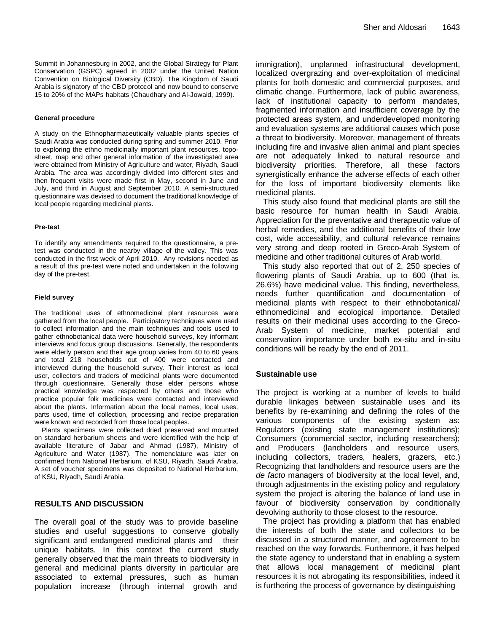Summit in Johannesburg in 2002, and the Global Strategy for Plant Conservation (GSPC) agreed in 2002 under the United Nation Convention on Biological Diversity (CBD). The Kingdom of Saudi Arabia is signatory of the CBD protocol and now bound to conserve 15 to 20% of the MAPs habitats (Chaudhary and Al-Jowaid, 1999).

#### **General procedure**

A study on the Ethnopharmaceutically valuable plants species of Saudi Arabia was conducted during spring and summer 2010. Prior to exploring the ethno medicinally important plant resources, toposheet, map and other general information of the investigated area were obtained from Ministry of Agriculture and water, Riyadh, Saudi Arabia. The area was accordingly divided into different sites and then frequent visits were made first in May, second in June and July, and third in August and September 2010. A semi-structured questionnaire was devised to document the traditional knowledge of local people regarding medicinal plants.

#### **Pre-test**

To identify any amendments required to the questionnaire, a pretest was conducted in the nearby village of the valley. This was conducted in the first week of April 2010. Any revisions needed as a result of this pre-test were noted and undertaken in the following day of the pre-test.

#### **Field survey**

The traditional uses of ethnomedicinal plant resources were gathered from the local people. Participatory techniques were used to collect information and the main techniques and tools used to gather ethnobotanical data were household surveys, key informant interviews and focus group discussions. Generally, the respondents were elderly person and their age group varies from 40 to 60 years and total 218 households out of 400 were contacted and interviewed during the household survey. Their interest as local user, collectors and traders of medicinal plants were documented through questionnaire. Generally those elder persons whose practical knowledge was respected by others and those who practice popular folk medicines were contacted and interviewed about the plants. Information about the local names, local uses, parts used, time of collection, processing and recipe preparation were known and recorded from those local peoples.

Plants specimens were collected dried preserved and mounted on standard herbarium sheets and were identified with the help of available literature of Jabar and Ahmad (1987), Ministry of Agriculture and Water (1987). The nomenclature was later on confirmed from National Herbarium, of KSU, Riyadh, Saudi Arabia. A set of voucher specimens was deposited to National Herbarium, of KSU, Riyadh, Saudi Arabia.

## **RESULTS AND DISCUSSION**

The overall goal of the study was to provide baseline studies and useful suggestions to conserve globally significant and endangered medicinal plants and their unique habitats. In this context the current study generally observed that the main threats to biodiversity in general and medicinal plants diversity in particular are associated to external pressures, such as human population increase (through internal growth and

immigration), unplanned infrastructural development, localized overgrazing and over-exploitation of medicinal plants for both domestic and commercial purposes, and climatic change. Furthermore, lack of public awareness, lack of institutional capacity to perform mandates, fragmented information and insufficient coverage by the protected areas system, and underdeveloped monitoring and evaluation systems are additional causes which pose a threat to biodiversity. Moreover, management of threats including fire and invasive alien animal and plant species are not adequately linked to natural resource and biodiversity priorities. Therefore, all these factors synergistically enhance the adverse effects of each other for the loss of important biodiversity elements like medicinal plants.

This study also found that medicinal plants are still the basic resource for human health in Saudi Arabia. Appreciation for the preventative and therapeutic value of herbal remedies, and the additional benefits of their low cost, wide accessibility, and cultural relevance remains very strong and deep rooted in Greco-Arab System of medicine and other traditional cultures of Arab world.

This study also reported that out of 2, 250 species of flowering plants of Saudi Arabia, up to 600 (that is, 26.6%) have medicinal value. This finding, nevertheless, needs further quantification and documentation of medicinal plants with respect to their ethnobotanical/ ethnomedicinal and ecological importance. Detailed results on their medicinal uses according to the Greco-Arab System of medicine, market potential and conservation importance under both ex-situ and in-situ conditions will be ready by the end of 2011.

#### **Sustainable use**

The project is working at a number of levels to build durable linkages between sustainable uses and its benefits by re-examining and defining the roles of the various components of the existing system as: Regulators (existing state management institutions); Consumers (commercial sector, including researchers); and Producers (landholders and resource users, including collectors, traders, healers, grazers, etc.) Recognizing that landholders and resource users are the *de facto* managers of biodiversity at the local level, and, through adjustments in the existing policy and regulatory system the project is altering the balance of land use in favour of biodiversity conservation by conditionally devolving authority to those closest to the resource.

The project has providing a platform that has enabled the interests of both the state and collectors to be discussed in a structured manner, and agreement to be reached on the way forwards. Furthermore, it has helped the state agency to understand that in enabling a system that allows local management of medicinal plant resources it is not abrogating its responsibilities, indeed it is furthering the process of governance by distinguishing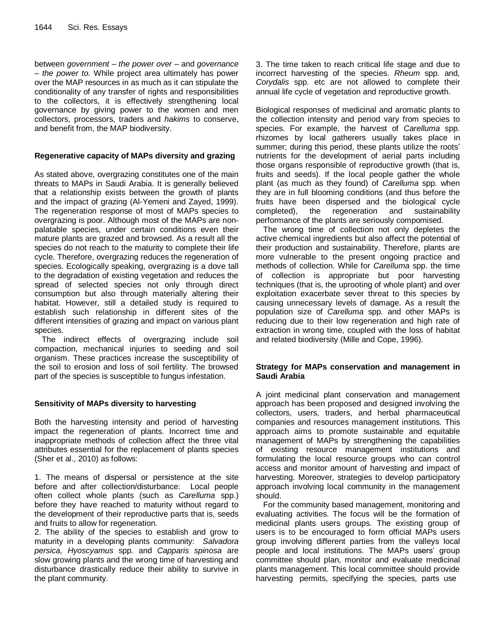between *government* – *the power over* – and *governance* – *the power to.* While project area ultimately has power over the MAP resources in as much as it can stipulate the conditionality of any transfer of rights and responsibilities to the collectors, it is effectively strengthening local governance by giving power to the women and men collectors, processors, traders and *hakims* to conserve, and benefit from, the MAP biodiversity.

# **Regenerative capacity of MAPs diversity and grazing**

As stated above, overgrazing constitutes one of the main threats to MAPs in Saudi Arabia. It is generally believed that a relationship exists between the growth of plants and the impact of grazing (Al-Yemeni and Zayed, 1999). The regeneration response of most of MAPs species to overgrazing is poor. Although most of the MAPs are nonpalatable species, under certain conditions even their mature plants are grazed and browsed. As a result all the species do not reach to the maturity to complete their life cycle. Therefore, overgrazing reduces the regeneration of species. Ecologically speaking, overgrazing is a dove tall to the degradation of existing vegetation and reduces the spread of selected species not only through direct consumption but also through materially altering their habitat. However, still a detailed study is required to establish such relationship in different sites of the different intensities of grazing and impact on various plant species.

The indirect effects of overgrazing include soil compaction, mechanical injuries to seeding and soil organism. These practices increase the susceptibility of the soil to erosion and loss of soil fertility. The browsed part of the species is susceptible to fungus infestation.

# **Sensitivity of MAPs diversity to harvesting**

Both the harvesting intensity and period of harvesting impact the regeneration of plants. Incorrect time and inappropriate methods of collection affect the three vital attributes essential for the replacement of plants species (Sher et al., 2010) as follows:

1. The means of dispersal or persistence at the site before and after collection/disturbance: Local people often collect whole plants (such as *Carelluma* spp.) before they have reached to maturity without regard to the development of their reproductive parts that is, seeds and fruits to allow for regeneration.

2. The ability of the species to establish and grow to maturity in a developing plants community: *Salvadora persica, Hyoscyamus* spp*.* and *Capparis spinosa* are slow growing plants and the wrong time of harvesting and disturbance drastically reduce their ability to survive in the plant community.

3. The time taken to reach critical life stage and due to incorrect harvesting of the species. *Rheum* spp. and*, Corydalis* spp. etc are not allowed to complete their annual life cycle of vegetation and reproductive growth.

Biological responses of medicinal and aromatic plants to the collection intensity and period vary from species to species. For example, the harvest of *Carelluma* spp. rhizomes by local gatherers usually takes place in summer; during this period, these plants utilize the roots' nutrients for the development of aerial parts including those organs responsible of reproductive growth (that is, fruits and seeds). If the local people gather the whole plant (as much as they found) of *Carelluma* spp. when they are in full blooming conditions (and thus before the fruits have been dispersed and the biological cycle completed), the regeneration and sustainability performance of the plants are seriously compomised.

The wrong time of collection not only depletes the active chemical ingredients but also affect the potential of their production and sustainability. Therefore, plants are more vulnerable to the present ongoing practice and methods of collection. While for *Carelluma* spp. the time of collection is appropriate but poor harvesting techniques (that is, the uprooting of whole plant) and over exploitation exacerbate sever threat to this species by causing unnecessary levels of damage. As a result the population size of *Carelluma* spp*.* and other MAPs is reducing due to their low regeneration and high rate of extraction in wrong time, coupled with the loss of habitat and related biodiversity (Mille and Cope, 1996).

# **Strategy for MAPs conservation and management in Saudi Arabia**

A joint medicinal plant conservation and management approach has been proposed and designed involving the collectors, users, traders, and herbal pharmaceutical companies and resources management institutions. This approach aims to promote sustainable and equitable management of MAPs by strengthening the capabilities of existing resource management institutions and formulating the local resource groups who can control access and monitor amount of harvesting and impact of harvesting. Moreover, strategies to develop participatory approach involving local community in the management should.

For the community based management, monitoring and evaluating activities. The focus will be the formation of medicinal plants users groups. The existing group of users is to be encouraged to form official MAPs users group involving different parties from the valleys local people and local institutions. The MAPs users' group committee should plan, monitor and evaluate medicinal plants management. This local committee should provide harvesting permits, specifying the species, parts use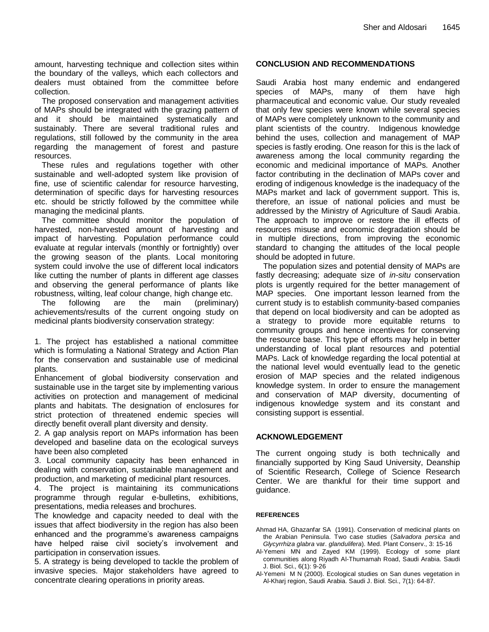amount, harvesting technique and collection sites within the boundary of the valleys, which each collectors and dealers must obtained from the committee before collection.

The proposed conservation and management activities of MAPs should be integrated with the grazing pattern of and it should be maintained systematically and sustainably. There are several traditional rules and regulations, still followed by the community in the area regarding the management of forest and pasture resources.

These rules and regulations together with other sustainable and well-adopted system like provision of fine, use of scientific calendar for resource harvesting, determination of specific days for harvesting resources etc. should be strictly followed by the committee while managing the medicinal plants.

The committee should monitor the population of harvested, non-harvested amount of harvesting and impact of harvesting. Population performance could evaluate at regular intervals (monthly or fortnightly) over the growing season of the plants. Local monitoring system could involve the use of different local indicators like cutting the number of plants in different age classes and observing the general performance of plants like robustness, wilting, leaf colour change, high change etc.

The following are the main (preliminary) achievements/results of the current ongoing study on medicinal plants biodiversity conservation strategy:

1. The project has established a national committee which is formulating a National Strategy and Action Plan for the conservation and sustainable use of medicinal plants.

Enhancement of global biodiversity conservation and sustainable use in the target site by implementing various activities on protection and management of medicinal plants and habitats. The designation of enclosures for strict protection of threatened endemic species will directly benefit overall plant diversity and density.

2. A gap analysis report on MAPs information has been developed and baseline data on the ecological surveys have been also completed

3. Local community capacity has been enhanced in dealing with conservation, sustainable management and production, and marketing of medicinal plant resources.

4. The project is maintaining its communications programme through regular e-bulletins, exhibitions, presentations, media releases and brochures.

The knowledge and capacity needed to deal with the issues that affect biodiversity in the region has also been enhanced and the programme's awareness campaigns have helped raise civil society's involvement and participation in conservation issues.

5. A strategy is being developed to tackle the problem of invasive species. Major stakeholders have agreed to concentrate clearing operations in priority areas.

# **CONCLUSION AND RECOMMENDATIONS**

Saudi Arabia host many endemic and endangered species of MAPs, many of them have high pharmaceutical and economic value. Our study revealed that only few species were known while several species of MAPs were completely unknown to the community and plant scientists of the country. Indigenous knowledge behind the uses, collection and management of MAP species is fastly eroding. One reason for this is the lack of awareness among the local community regarding the economic and medicinal importance of MAPs. Another factor contributing in the declination of MAPs cover and eroding of indigenous knowledge is the inadequacy of the MAPs market and lack of government support. This is, therefore, an issue of national policies and must be addressed by the Ministry of Agriculture of Saudi Arabia. The approach to improve or restore the ill effects of resources misuse and economic degradation should be in multiple directions, from improving the economic standard to changing the attitudes of the local people should be adopted in future.

The population sizes and potential density of MAPs are fastly decreasing; adequate size of *in-situ* conservation plots is urgently required for the better management of MAP species. One important lesson learned from the current study is to establish community-based companies that depend on local biodiversity and can be adopted as a strategy to provide more equitable returns to community groups and hence incentives for conserving the resource base. This type of efforts may help in better understanding of local plant resources and potential MAPs. Lack of knowledge regarding the local potential at the national level would eventually lead to the genetic erosion of MAP species and the related indigenous knowledge system. In order to ensure the management and conservation of MAP diversity, documenting of indigenous knowledge system and its constant and consisting support is essential.

## **ACKNOWLEDGEMENT**

The current ongoing study is both technically and financially supported by King Saud University, Deanship of Scientific Research, College of Science Research Center. We are thankful for their time support and guidance.

## **REFERENCES**

- Ahmad HA, Ghazanfar SA (1991). Conservation of medicinal plants on the Arabian Peninsula. Two case studies (*Salvadora persica* and *Glycyrrhiza glabra* var. *glandulifera*). Med. Plant Conserv., 3: 15-16
- Al-Yemeni MN and Zayed KM (1999). Ecology of some plant communities along Riyadh Al-Thumamah Road, Saudi Arabia. Saudi J. Biol. Sci., 6(1): 9-26
- Al-Yemeni M N (2000). Ecological studies on San dunes vegetation in Al-Kharj region, Saudi Arabia. Saudi J. Biol. Sci., 7(1): 64-87.